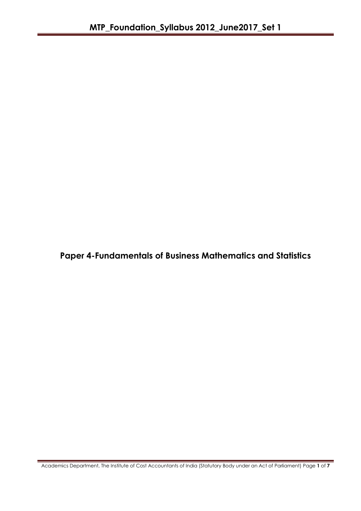**Paper 4-Fundamentals of Business Mathematics and Statistics**

Academics Department, The Institute of Cost Accountants of India (Statutory Body under an Act of Parliament) Page **1** of **7**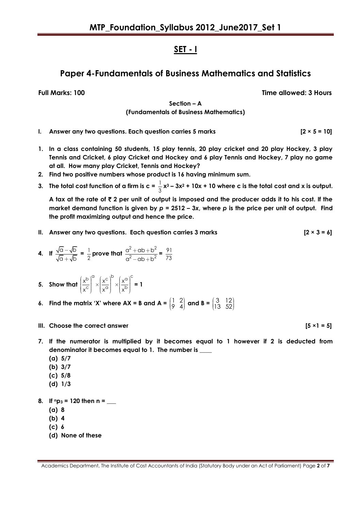## **SET - I**

# **Paper 4-Fundamentals of Business Mathematics and Statistics**

**Full Marks: 100 Time allowed: 3 Hours**

**Section – A (Fundamentals of Business Mathematics)**

- **I. Answer any two questions. Each question carries 5 marks [2 × 5 = 10]**
- **1. In a class containing 50 students, 15 play tennis, 20 play cricket and 20 play Hockey, 3 play Tennis and Cricket, 6 play Cricket and Hockey and 6 play Tennis and Hockey, 7 play no game at all. How many play Cricket, Tennis and Hockey?**
- **2. Find two positive numbers whose product is 16 having minimum sum.**
- **3.** The total cost function of a firm is  $c = \frac{1}{6}$  $\frac{1}{3}$  **x**<sup>3</sup> – 3**x**<sup>2</sup> + 10**x** + 10 where c is the total cost and **x** is output.

A tax at the rate of  $\bar{\tau}$  2 per unit of output is imposed and the producer adds it to his cost. If the **market demand function is given by** *p* **= 2512 – 3***x***, where** *p* **is the price per unit of output. Find the profit maximizing output and hence the price.**

**II. Answer any two questions. Each question carries 3 marks [2 × 3 = 6]**

4. If 
$$
\frac{\sqrt{a} - \sqrt{b}}{\sqrt{a} + \sqrt{b}} = \frac{1}{2}
$$
 prove that  $\frac{a^2 + ab + b^2}{a^2 - ab + b^2} = \frac{91}{73}$ 

- **5. Show that**  b)<sup>a</sup>  $(x^c)^b$   $(x^a)^c$  $\overline{c}$   $\wedge$   $\overline{\vee}$   $\overline{a}$   $\wedge$   $\overline{\vee}$   $\overline{b}$  $x^b$   $(x^c)$   $(x^c)$  $\left(\frac{x^{b}}{x^{c}}\right)^{\alpha} \times \left(\frac{x^{c}}{x^{\alpha}}\right)^{\beta} \times \left(\frac{x^{\alpha}}{x^{b}}\right)^{\beta}$ **= 1**
- **6.** Find the matrix 'X' where  $AX = B$  and  $A = \begin{bmatrix} 1 & 2 \\ 0 & 4 \end{bmatrix}$  $\begin{pmatrix} 1 & 2 \\ 9 & 4 \end{pmatrix}$  and B =  $\begin{pmatrix} 3 & 12 \\ 13 & 52 \end{pmatrix}$  $\begin{pmatrix} 3 & 12 \\ 13 & 52 \end{pmatrix}$
- **III.** Choose the correct answer  $[5 \times 1 = 5]$
- 
- **7. If the numerator is multiplied by it becomes equal to 1 however if 2 is deducted from**  denominator it becomes equal to 1. The number is
	- **(a) 5/7**
	- **(b) 3/7**
	- **(c) 5/8**
	- **(d) 1/3**
- 8. **If**  $n_{p_3} = 120$  then  $n =$ 
	- **(a) 8**
	- **(b) 4**
	- **(c) 6**
	- **(d) None of these**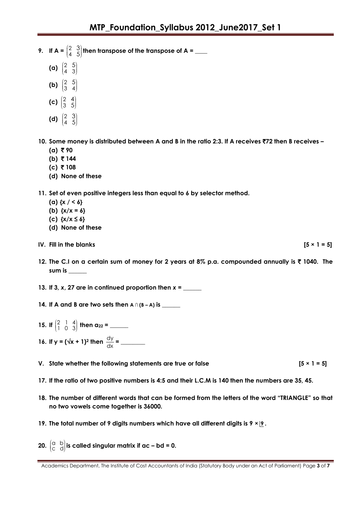- **9.** If  $A = \begin{pmatrix} 2 \\ 4 \end{pmatrix}$ 4 3  $\begin{pmatrix} 2 & 3 \\ 4 & 5 \end{pmatrix}$  then transpose of the transpose of A =  $\_\_$ 
	- **(a)**  2  $\begin{pmatrix} 2 & 5 \\ 4 & 3 \end{pmatrix}$
	- (b)  $\binom{2}{3}$  $\begin{pmatrix} 2 & 5 \\ 3 & 4 \end{pmatrix}$
	- 4
	- **(c)** 2 3  $\begin{pmatrix} 2 & 4 \\ 3 & 5 \end{pmatrix}$
	- **(d)**  2 4 3  $\begin{pmatrix} 2 & 3 \\ 4 & 5 \end{pmatrix}$

**10. Some money is distributed between A and B in the ratio 2:3. If A receives** `**72 then B receives –**

- $(a) \bar{z}$  90
- **(b)** ` **144**
- **(c)** ` **108**
- **(d) None of these**

**11. Set of even positive integers less than equal to 6 by selector method.**

- **(a) {x / < 6}**
- **(b) {x/x = 6}**
- **(c) {x/x ≤ 6}**
- **(d) None of these**
- **IV.** Fill in the blanks  $[5 \times 1 = 5]$
- **12. The C.I on a certain sum of money for 2 years at 8% p.a. compounded annually is** ` **1040. The sum is \_\_\_\_\_\_**
- **13. If 3,** *x***, 27 are in continued proportion then** *x* **= \_\_\_\_\_\_**
- **14. If A and B are two sets then**  $A \cap (B A)$  is
- **15.** If  $\begin{pmatrix} 2 & 1 & 4 \\ 1 & 0 & 2 \end{pmatrix}$ 1 0 3 **then a<sup>22</sup> = \_\_\_\_\_\_**

**16.** If  $y = (\sqrt{x} + 1)^2$  then  $\frac{dy}{dx}$ dx **= \_\_\_\_\_\_\_\_**

- **V.** State whether the following statements are true or false  $[5 \times 1 = 5]$
- **17. If the ratio of two positive numbers is 4:5 and their L.C.M is 140 then the numbers are 35, 45.**
- **18. The number of different words that can be formed from the letters of the word "TRIANGLE" so that no two vowels come together is 36000.**
- **19. The total number of 9 digits numbers which have all different digits is 9 × 9 .**
- **20.**  $\begin{bmatrix} a & b \\ c & d \end{bmatrix}$  $\begin{pmatrix} a & b \ c & d \end{pmatrix}$  is called singular matrix if ac – bd = 0.

Academics Department, The Institute of Cost Accountants of India (Statutory Body under an Act of Parliament) Page **3** of **7**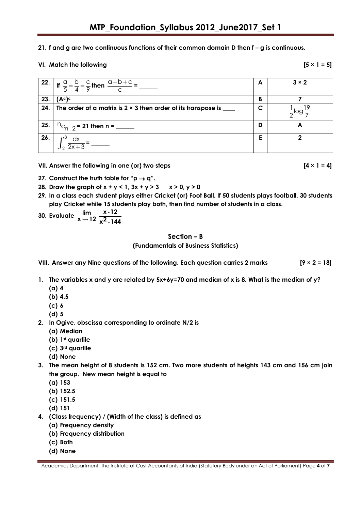#### **21. f and g are two continuous functions of their common domain D then f – g is continuous.**

#### **VI.** Match the following  $[5 \times 1 = 5]$

|     | $\left  \frac{22.}{5} \right $ If $\frac{a}{5} = \frac{b}{4} = \frac{c}{9}$ then $\frac{a+b+c}{c} =$ | А | $3 \times 2$ |
|-----|------------------------------------------------------------------------------------------------------|---|--------------|
| 23. | (A <sup>c</sup> ) <sup>c</sup>                                                                       | В |              |
| 24. | The order of a matrix is $2 \times 3$ then order of its transpose is ____                            | C |              |
| 25. | ${}^{11}C_{n-2}$ = 21 then n = _____                                                                 | D | А            |
|     | $\int_{2}^{6} \frac{dx}{2x+3} =$                                                                     | Ε | n            |

**VII. Answer the following in one (or) two steps [4 × 1 = 4]**

- **27.** Construct the truth table for " $p \rightarrow q$ ".
- **28. Draw the graph of**  $x + y \le 1$ **,**  $3x + y \ge 3$  $x \ge 0$ **,**  $y \ge 0$
- **29. In a class each student plays either Cricket (or) Foot Ball. If 50 students plays football, 30 students play Cricket while 15 students play both, then find number of students in a class.**

30. Evaluate 
$$
\lim_{x \to 12} \frac{x-12}{x^2-144}
$$

### **Section – B**

**(Fundamentals of Business Statistics)**

**VIII. Answer any Nine questions of the following. Each question carries 2 marks [9 × 2 = 18]**

- **1. The variables x and y are related by 5x+6y=70 and median of x is 8. What is the median of y?**
	- **(a) 4**
	- **(b) 4.5**
	- **(c) 6**
	- **(d) 5**
- **2. In Ogive, obscissa corresponding to ordinate N/2 is** 
	- **(a) Median**
	- **(b) 1st quartile**
	- **(c) 3rd quartile**
	- **(d) None**
- **3. The mean height of 8 students is 152 cm. Two more students of heights 143 cm and 156 cm join the group. New mean height is equal to**
	- **(a) 153**
	- **(b) 152.5**
	- **(c) 151.5**
	- **(d) 151**
- **4. (Class frequency) / (Width of the class) is defined as**
	- **(a) Frequency density**
	- **(b) Frequency distribution**
	- **(c) Both**
	- **(d) None**

Academics Department, The Institute of Cost Accountants of India (Statutory Body under an Act of Parliament) Page **4** of **7**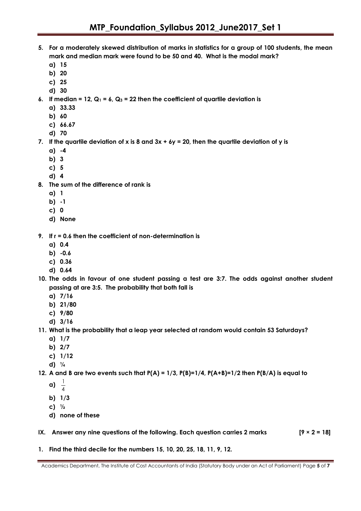- **5. For a moderately skewed distribution of marks in statistics for a group of 100 students, the mean mark and median mark were found to be 50 and 40. What is the modal mark?**
	- **a) 15**
	- **b) 20**
	- **c) 25**
	- **d) 30**
- **6.** If median = 12,  $Q_1 = 6$ ,  $Q_3 = 22$  then the coefficient of quartile deviation is
	- **a) 33.33**
	- **b) 60**
	- **c) 66.67**
	- **d) 70**
- **7. If the quartile deviation of x is 8 and 3x + 6y = 20, then the quartile deviation of y is**
	- **a) -4**
	- **b) 3**
	- **c) 5**
	- **d) 4**
- **8. The sum of the difference of rank is**
	- **a) 1**
	- **b) -1**
	- **c) 0**
	- **d) None**
- **9. If r = 0.6 then the coefficient of non-determination is**
	- **a) 0.4**
	- **b) -0.6**
	- **c) 0.36**
	- **d) 0.64**
- **10. The odds in favour of one student passing a test are 3:7. The odds against another student passing at are 3:5. The probability that both fall is**
	- **a) 7/16**
	- **b) 21/80**
	- **c) 9/80**
	- **d) 3/16**
- **11. What is the probability that a leap year selected at random would contain 53 Saturdays?**
	- **a) 1/7**
	- **b) 2/7**
	- **c) 1/12**
	- **d) ¼**
- **12. A and B are two events such that P(A) = 1/3, P(B)=1/4, P(A+B)=1/2 then P(B/A) is equal to**
	- **a)** 1  $\overline{4}$
	- **b) 1/3**
	- **c) ½**
	- **d) none of these**
- **IX. Answer any nine questions of the following. Each question carries 2 marks [9 × 2 = 18]**
- **1. Find the third decile for the numbers 15, 10, 20, 25, 18, 11, 9, 12.**

Academics Department, The Institute of Cost Accountants of India (Statutory Body under an Act of Parliament) Page **5** of **7**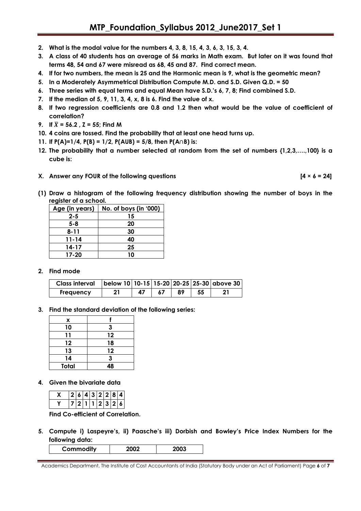- **2. What is the modal value for the numbers 4, 3, 8, 15, 4, 3, 6, 3, 15, 3, 4.**
- **3. A class of 40 students has an average of 56 marks in Math exam. But later on it was found that terms 48, 54 and 67 were misread as 68, 45 and 87. Find correct mean.**
- **4. If for two numbers, the mean is 25 and the Harmonic mean is 9, what is the geometric mean?**
- **5. In a Moderately Asymmetrical Distribution Compute M.D. and S.D. Given Q.D. = 50**
- **6. Three series with equal terms and equal Mean have S.D."s 6, 7, 8; Find combined S.D.**
- **7. If the median of 5, 9, 11, 3, 4, x, 8 is 6. Find the value of x.**
- **8. If two regression coefficients are 0.8 and 1.2 then what would be the value of coefficient of correlation?**
- **9. If**  $\bar{X} = 56.2$ ,  $\bar{Z} = 55$ ; Find M
- **10. 4 coins are tossed. Find the probability that at least one head turns up.**
- **11. If P(A)=1/4, P(B) = 1/2, P(AUB) = 5/8, then P(A**∩**B) is:**
- **12. The probability that a number selected at random from the set of numbers {1,2,3,….,100} is a cube is:**
- **X. Answer any FOUR of the following questions [4 × 6 = 24]**
- **(1) Draw a histogram of the following frequency distribution showing the number of boys in the register of a school.**

| וכעואפו טו ע אכווטטו. |                       |  |  |  |  |
|-----------------------|-----------------------|--|--|--|--|
| Age (in years)        | No. of boys (in '000) |  |  |  |  |
| $2 - 5$               | 15                    |  |  |  |  |
| $5 - 8$               | 20                    |  |  |  |  |
| $8 - 11$              | 30                    |  |  |  |  |
| 11-14                 | 40                    |  |  |  |  |
| 14-17                 | 25                    |  |  |  |  |
| 17-20                 | 10                    |  |  |  |  |

#### **2. Find mode**

| <b>Class interval</b> |    |    | below 10   10-15   15-20   20-25   25-30   above 30 |
|-----------------------|----|----|-----------------------------------------------------|
| <b>Frequency</b>      | 47 | 89 |                                                     |

**3. Find the standard deviation of the following series:**

| x            |    |  |  |
|--------------|----|--|--|
| 10           | 3  |  |  |
| 11           | 12 |  |  |
| 12           | 18 |  |  |
| 13           | 12 |  |  |
| 14           | 3  |  |  |
| <b>Total</b> | 48 |  |  |

**4. Given the bivariate data**

|  |  |  |                 | 2 6 4 3 2 2 8 4 |
|--|--|--|-----------------|-----------------|
|  |  |  | 7 2 1 1 2 3 2 6 |                 |

**Find Co-efficient of Correlation.**

**5. Compute i) Laspeyre"s, ii) Paasche"s iii) Dorbish and Bowley"s Price Index Numbers for the following data:**

| Commodity |  |
|-----------|--|
|           |  |

Academics Department, The Institute of Cost Accountants of India (Statutory Body under an Act of Parliament) Page **6** of **7**